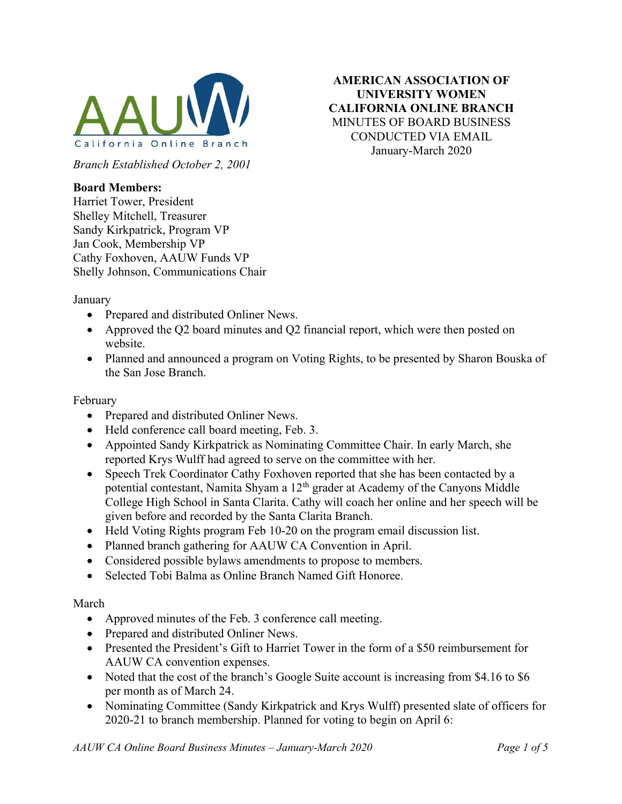

AMERICAN ASSOCIATION OF UNIVERSITY WOMEN CALIFORNIA ONLINE BRANCH MINUTES OF BOARD BUSINESS CONDUCTED VIA EMAIL January-March 2020

Branch Established October 2, 2001

## Board Members:

Harriet Tower, President Shelley Mitchell, Treasurer Sandy Kirkpatrick, Program VP Jan Cook, Membership VP Cathy Foxhoven, AAUW Funds VP Shelly Johnson, Communications Chair

January

- Prepared and distributed Onliner News.
- Approved the Q2 board minutes and Q2 financial report, which were then posted on website.
- Planned and announced a program on Voting Rights, to be presented by Sharon Bouska of the San Jose Branch.

### February

- Prepared and distributed Onliner News.
- Held conference call board meeting, Feb. 3.
- Appointed Sandy Kirkpatrick as Nominating Committee Chair. In early March, she reported Krys Wulff had agreed to serve on the committee with her.
- Speech Trek Coordinator Cathy Foxhoven reported that she has been contacted by a potential contestant, Namita Shyam a 12th grader at Academy of the Canyons Middle College High School in Santa Clarita. Cathy will coach her online and her speech will be given before and recorded by the Santa Clarita Branch.
- Held Voting Rights program Feb 10-20 on the program email discussion list.
- Planned branch gathering for AAUW CA Convention in April.
- Considered possible bylaws amendments to propose to members.
- Selected Tobi Balma as Online Branch Named Gift Honoree.

#### March

- Approved minutes of the Feb. 3 conference call meeting.
- Prepared and distributed Onliner News.
- Presented the President's Gift to Harriet Tower in the form of a \$50 reimbursement for AAUW CA convention expenses.
- Noted that the cost of the branch's Google Suite account is increasing from \$4.16 to \$6 per month as of March 24.
- Nominating Committee (Sandy Kirkpatrick and Krys Wulff) presented slate of officers for 2020-21 to branch membership. Planned for voting to begin on April 6: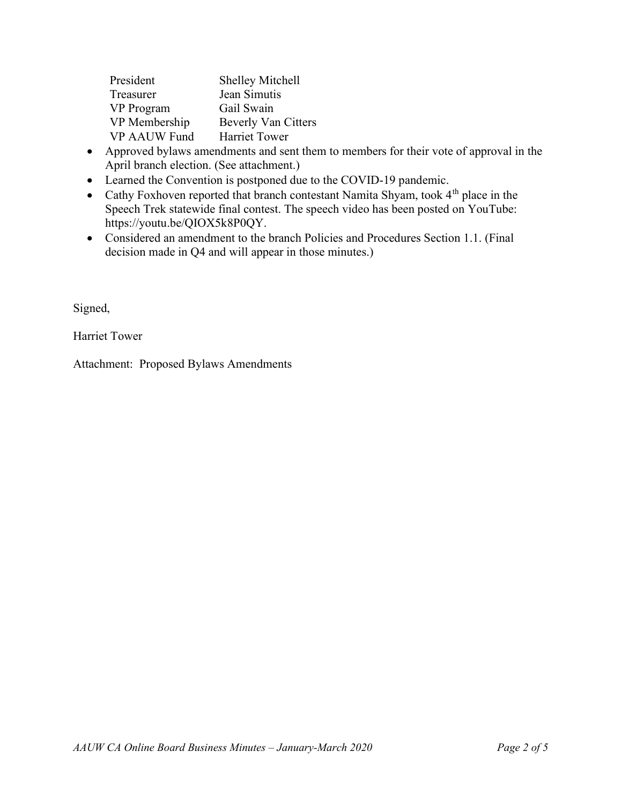| President     | <b>Shelley Mitchell</b>    |
|---------------|----------------------------|
| Treasurer     | Jean Simutis               |
| VP Program    | Gail Swain                 |
| VP Membership | <b>Beverly Van Citters</b> |
| VP AAUW Fund  | <b>Harriet Tower</b>       |

- Approved bylaws amendments and sent them to members for their vote of approval in the April branch election. (See attachment.)
- Learned the Convention is postponed due to the COVID-19 pandemic.
- Cathy Foxhoven reported that branch contestant Namita Shyam, took  $4<sup>th</sup>$  place in the Speech Trek statewide final contest. The speech video has been posted on YouTube: https://youtu.be/QIOX5k8P0QY.
- Considered an amendment to the branch Policies and Procedures Section 1.1. (Final decision made in Q4 and will appear in those minutes.)

Signed,

Harriet Tower

Attachment: Proposed Bylaws Amendments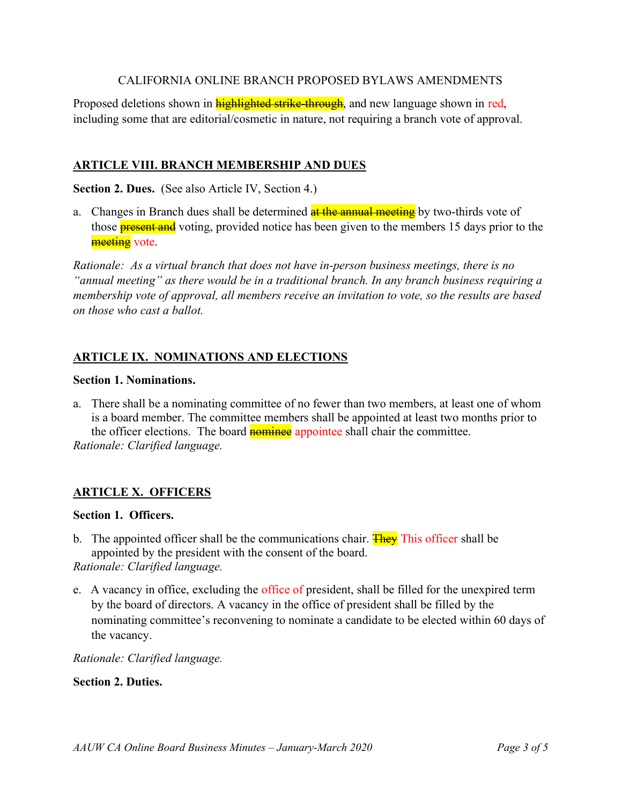## CALIFORNIA ONLINE BRANCH PROPOSED BYLAWS AMENDMENTS

Proposed deletions shown in **highlighted strike-through**, and new language shown in red, including some that are editorial/cosmetic in nature, not requiring a branch vote of approval.

## ARTICLE VIII. BRANCH MEMBERSHIP AND DUES

Section 2. Dues. (See also Article IV, Section 4.)

a. Changes in Branch dues shall be determined at the annual meeting by two-thirds vote of those **present and** voting, provided notice has been given to the members 15 days prior to the meeting vote.

Rationale: As a virtual branch that does not have in-person business meetings, there is no "annual meeting" as there would be in a traditional branch. In any branch business requiring a membership vote of approval, all members receive an invitation to vote, so the results are based on those who cast a ballot.

## ARTICLE IX. NOMINATIONS AND ELECTIONS

#### Section 1. Nominations.

a. There shall be a nominating committee of no fewer than two members, at least one of whom is a board member. The committee members shall be appointed at least two months prior to the officer elections. The board **nominee** appointee shall chair the committee. Rationale: Clarified language.

### ARTICLE X. OFFICERS

#### Section 1. Officers.

- b. The appointed officer shall be the communications chair. **They** This officer shall be appointed by the president with the consent of the board. Rationale: Clarified language.
- e. A vacancy in office, excluding the office of president, shall be filled for the unexpired term by the board of directors. A vacancy in the office of president shall be filled by the nominating committee's reconvening to nominate a candidate to be elected within 60 days of the vacancy.

Rationale: Clarified language.

Section 2. Duties.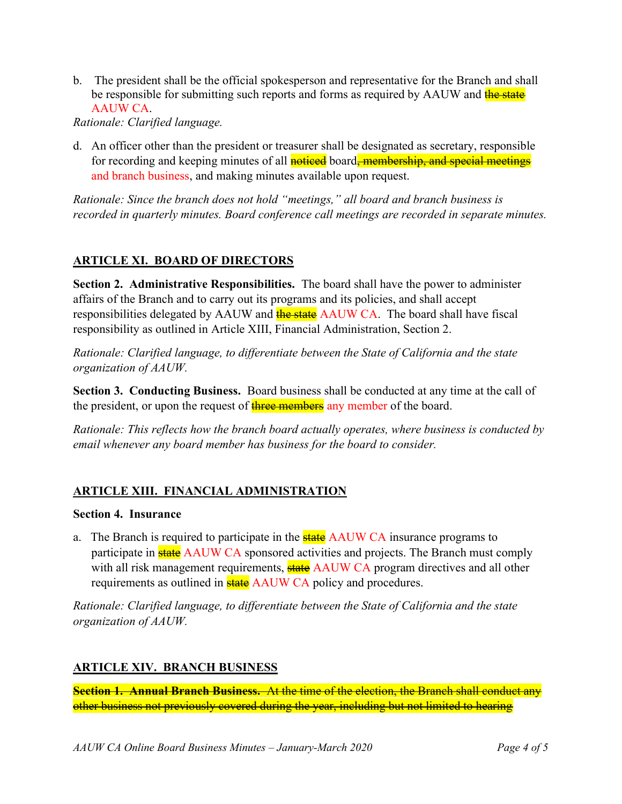b. The president shall be the official spokesperson and representative for the Branch and shall be responsible for submitting such reports and forms as required by AAUW and the state AAUW CA.

Rationale: Clarified language.

d. An officer other than the president or treasurer shall be designated as secretary, responsible for recording and keeping minutes of all noticed board, membership, and special meetings and branch business, and making minutes available upon request.

Rationale: Since the branch does not hold "meetings," all board and branch business is recorded in quarterly minutes. Board conference call meetings are recorded in separate minutes.

# ARTICLE XI. BOARD OF DIRECTORS

Section 2. Administrative Responsibilities. The board shall have the power to administer affairs of the Branch and to carry out its programs and its policies, and shall accept responsibilities delegated by AAUW and the state AAUW CA. The board shall have fiscal responsibility as outlined in Article XIII, Financial Administration, Section 2.

Rationale: Clarified language, to differentiate between the State of California and the state organization of AAUW.

Section 3. Conducting Business. Board business shall be conducted at any time at the call of the president, or upon the request of three members any member of the board.

Rationale: This reflects how the branch board actually operates, where business is conducted by email whenever any board member has business for the board to consider.

# ARTICLE XIII. FINANCIAL ADMINISTRATION

### Section 4. Insurance

a. The Branch is required to participate in the **state** AAUW CA insurance programs to participate in **state** AAUW CA sponsored activities and projects. The Branch must comply with all risk management requirements, **state** AAUW CA program directives and all other requirements as outlined in **state** AAUW CA policy and procedures.

Rationale: Clarified language, to differentiate between the State of California and the state organization of AAUW.

# ARTICLE XIV. BRANCH BUSINESS

Section 1. Annual Branch Business. At the time of the election, the Branch shall conduct any other business not previously covered during the year, including but not limited to hearing